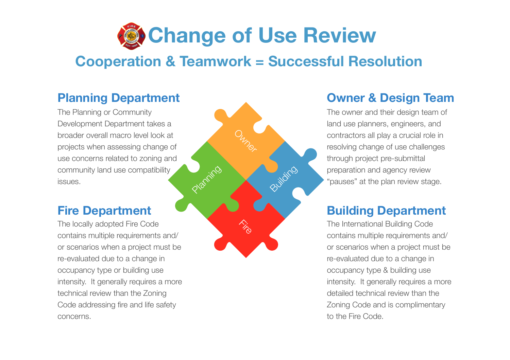

# **Cooperation & Teamwork = Successful Resolution**

**Fire** 

Owner

Planing

Building

## **Planning Department**

The Planning or Community Development Department takes a broader overall macro level look at projects when assessing change of use concerns related to zoning and community land use compatibility issues.

## **Fire Department**

The locally adopted Fire Code contains multiple requirements and/ or scenarios when a project must be re-evaluated due to a change in occupancy type or building use intensity. It generally requires a more technical review than the Zoning Code addressing fire and life safety concerns.

## **Owner & Design Team**

The owner and their design team of land use planners, engineers, and contractors all play a crucial role in resolving change of use challenges through project pre-submittal preparation and agency review "pauses" at the plan review stage.

## **Building Department**

The International Building Code contains multiple requirements and/ or scenarios when a project must be re-evaluated due to a change in occupancy type & building use intensity. It generally requires a more detailed technical review than the Zoning Code and is complimentary to the Fire Code.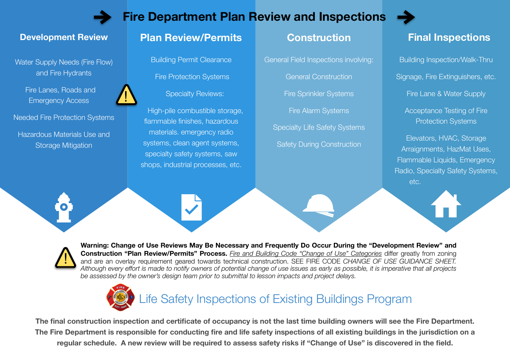

!

## **Fire Department Plan Review and Inspections**



Water Supply Needs (Fire Flow) and Fire Hydrants

> Fire Lanes, Roads and Emergency Access

Needed Fire Protection Systems

Hazardous Materials Use and Storage Mitigation

#### **Plan Review/Permits Construction Development Review Final Inspections**

Building Permit Clearance Fire Protection Systems Specialty Reviews:

High-pile combustible storage, flammable finishes, hazardous materials. emergency radio systems, clean agent systems, specialty safety systems, saw shops, industrial processes, etc.

General Field Inspections involving: General Construction Fire Sprinkler Systems Fire Alarm Systems Specialty Life Safety Systems Safety During Construction

Building Inspection/Walk-Thru Signage, Fire Extinguishers, etc. Fire Lane & Water Supply

Acceptance Testing of Fire Protection Systems

Elevators, HVAC, Storage Arraignments, HazMat Uses, Flammable Liquids, Emergency Radio, Specialty Safety Systems, etc.



!

**Warning: Change of Use Reviews May Be Necessary and Frequently Do Occur During the "Development Review" and Construction "Plan Review/Permits" Process.** *Fire and Building Code "Change of Use" Categories* differ greatly from zoning and are an overlay requirement geared towards technical construction. SEE FIRE CODE *CHANGE OF USE GUIDANCE SHEET. Although every effort is made to notify owners of potential change of use issues as early as possible, it is imperative that all projects be assessed by the owner's design team prior to submittal to lesson impacts and project delays.*



# Life Safety Inspections of Existing Buildings Program

**The final construction inspection and certificate of occupancy is not the last time building owners will see the Fire Department. The Fire Department is responsible for conducting fire and life safety inspections of all existing buildings in the jurisdiction on a regular schedule. A new review will be required to assess safety risks if "Change of Use" is discovered in the field.**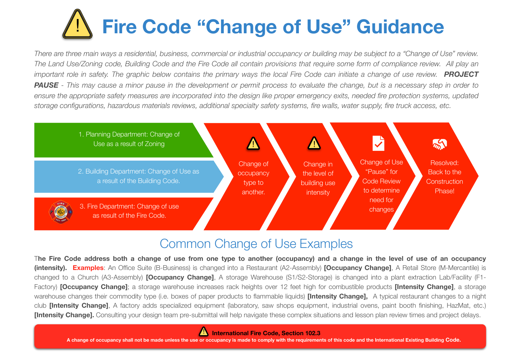# **Fire Code "Change of Use" Guidance** !

*There are three main ways a residential, business, commercial or industrial occupancy or building may be subject to a "Change of Use" review. The Land Use/Zoning code, Building Code and the Fire Code all contain provisions that require some form of compliance review. All play an important role in safety. The graphic below contains the primary ways the local Fire Code can initiate a change of use review.* **PROJECT PAUSE** - This may cause a minor pause in the development or permit process to evaluate the change, but is a necessary step in order to ensure the appropriate safety measures are incorporated into the design like proper emergency exits, needed fire protection systems, updated *storage configurations, hazardous materials reviews, additional specialty safety systems, fire walls, water supply, fire truck access, etc.*



# Common Change of Use Examples

T**he Fire Code address both a change of use from one type to another (occupancy) and a change in the level of use of an occupancy (intensity). Examples**: An Office Suite (B-Business) is changed into a Restaurant (A2-Assembly) **[Occupancy Change]**, A Retail Store (M-Mercantile) is changed to a Church (A3-Assembly) **[Occupancy Change]**, A storage Warehouse (S1/S2-Storage) is changed into a plant extraction Lab/Facility (F1- Factory) **[Occupancy Change]**; a storage warehouse increases rack heights over 12 feet high for combustible products **[Intensity Change]**, a storage warehouse changes their commodity type (i.e. boxes of paper products to flammable liquids) **[Intensity Change],** A typical restaurant changes to a night club **[Intensity Change]**, A factory adds specialized equipment (laboratory, saw shops equipment, industrial ovens, paint booth finishing, HazMat, etc.) **[Intensity Change].** Consulting your design team pre-submittal will help navigate these complex situations and lesson plan review times and project delays.



**A change of occupancy shall not be made unless the use or occupancy is made to comply with the requirements of this code and the International Existing Building Code.**